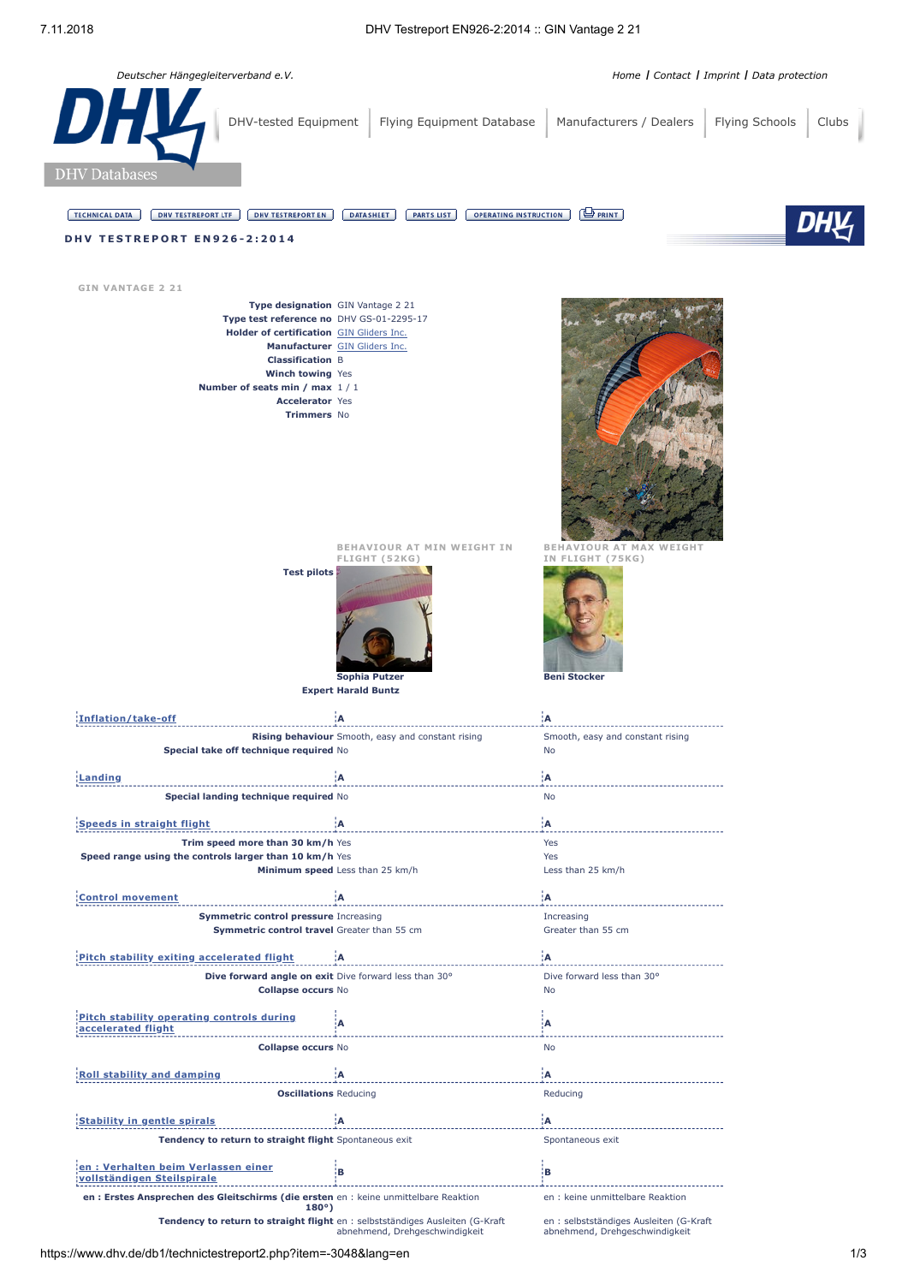

**Collapse occurs** No No

**[Stability](javascript:void(0);) in gentle spirals A A Tendency to return to straight flight** Spontaneous exit Spontaneous exit Spontaneous exit

**en : Erstes Ansprechen des Gleitschirms (die ersten** en : keine unmittelbare Reaktion **en : keine unmittelbare Reaktion**<br>180°)

abnehmend, Drehgeschwindigkeit

en : selbstständiges Ausleiten (G-Kraft abnehmend, Drehgeschwindigkeit

**Oscillations** Reducing **Reducing** Reducing

**Roll stability and [damping](javascript:void(0);) A A**

**[vollständigen](javascript:void(0);) Steilspirale <sup>B</sup> <sup>B</sup>**

**Tendency to return to straight flight** en : selbstständiges Ausleiten (G-Kraft

**en : Verhalten beim Verlassen einer**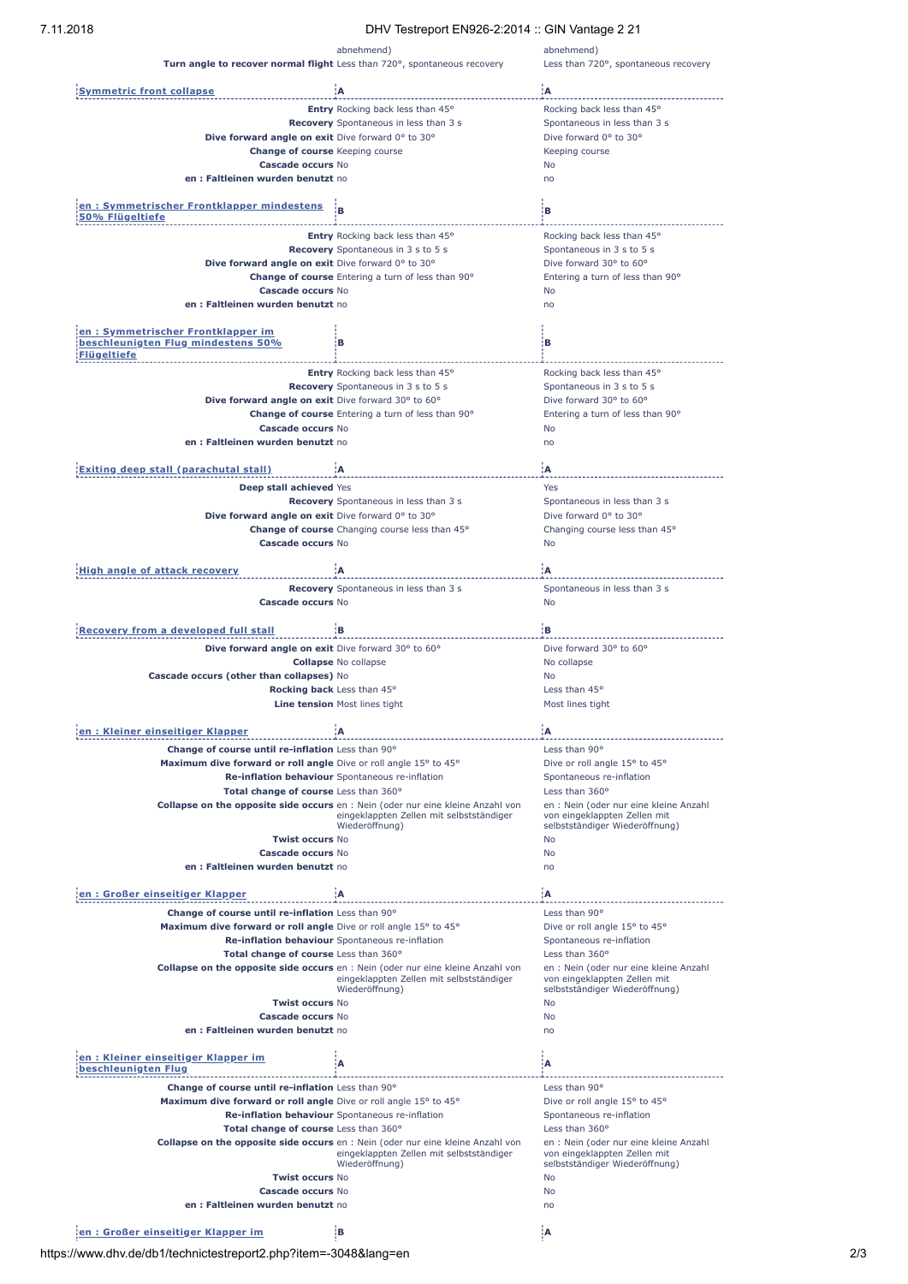## 7.11.2018 DHV Testreport EN926-2:2014 :: GIN Vantage 2 21

|                                                                                               | $511V$ Toolid port ENOZO 2.2014 On Vidinago 2.21                                       |                                                                |
|-----------------------------------------------------------------------------------------------|----------------------------------------------------------------------------------------|----------------------------------------------------------------|
|                                                                                               | abnehmend)                                                                             | abnehmend)                                                     |
|                                                                                               | Turn angle to recover normal flight Less than 720°, spontaneous recovery               | Less than 720°, spontaneous recovery                           |
|                                                                                               |                                                                                        |                                                                |
| <b>Symmetric front collapse</b>                                                               | ÷Α                                                                                     | ۱A.                                                            |
|                                                                                               | Entry Rocking back less than 45°                                                       | Rocking back less than 45°                                     |
|                                                                                               | Recovery Spontaneous in less than 3 s                                                  | Spontaneous in less than 3 s                                   |
| Dive forward angle on exit Dive forward 0° to 30°                                             |                                                                                        | Dive forward 0° to 30°                                         |
| <b>Change of course</b> Keeping course                                                        |                                                                                        | Keeping course                                                 |
| Cascade occurs No                                                                             |                                                                                        | No                                                             |
| en: Faltleinen wurden benutzt no                                                              |                                                                                        | no                                                             |
|                                                                                               |                                                                                        |                                                                |
| en: Symmetrischer Frontklapper mindestens<br>50% Flügeltiefe                                  |                                                                                        | в                                                              |
|                                                                                               | <b>Entry</b> Rocking back less than 45°                                                | Rocking back less than 45°                                     |
|                                                                                               | Recovery Spontaneous in 3 s to 5 s                                                     | Spontaneous in 3 s to 5 s                                      |
| Dive forward angle on exit Dive forward 0° to 30°                                             |                                                                                        | Dive forward 30° to 60°                                        |
|                                                                                               | Change of course Entering a turn of less than 90°                                      | Entering a turn of less than 90°                               |
| Cascade occurs No                                                                             |                                                                                        | No                                                             |
| en: Faltleinen wurden benutzt no                                                              |                                                                                        | no                                                             |
| en: Symmetrischer Frontklapper im<br>beschleunigten Flug mindestens 50%<br><b>Flügeltiefe</b> | в                                                                                      | iв.                                                            |
|                                                                                               |                                                                                        |                                                                |
|                                                                                               | Entry Rocking back less than 45°<br><b>Recovery</b> Spontaneous in 3 s to 5 s          | Rocking back less than 45°<br>Spontaneous in 3 s to 5 s        |
| Dive forward angle on exit Dive forward 30° to 60°                                            |                                                                                        | Dive forward 30° to 60°                                        |
|                                                                                               | Change of course Entering a turn of less than 90°                                      | Entering a turn of less than 90°                               |
| Cascade occurs No                                                                             |                                                                                        | No                                                             |
| en: Faltleinen wurden benutzt no                                                              |                                                                                        | no                                                             |
|                                                                                               |                                                                                        |                                                                |
| <b>Exiting deep stall (parachutal stall)</b>                                                  | ۱A                                                                                     | ίA                                                             |
| Deep stall achieved Yes                                                                       |                                                                                        | Yes                                                            |
|                                                                                               | Recovery Spontaneous in less than 3 s                                                  | Spontaneous in less than 3 s                                   |
| Dive forward angle on exit Dive forward 0° to 30°                                             |                                                                                        | Dive forward 0° to 30°                                         |
|                                                                                               | Change of course Changing course less than 45°                                         | Changing course less than 45°                                  |
| Cascade occurs No                                                                             |                                                                                        | No                                                             |
|                                                                                               | ۱A                                                                                     | ïΑ                                                             |
| <b>High angle of attack recovery</b>                                                          |                                                                                        |                                                                |
| Cascade occurs No                                                                             | Recovery Spontaneous in less than 3 s                                                  | Spontaneous in less than 3 s<br>No                             |
|                                                                                               |                                                                                        |                                                                |
| <b>Recovery from a developed full stall</b>                                                   | łВ.                                                                                    | łВ.                                                            |
| Dive forward angle on exit Dive forward 30° to 60°                                            |                                                                                        | Dive forward 30° to 60°                                        |
|                                                                                               | <b>Collapse No collapse</b>                                                            | No collapse                                                    |
| Cascade occurs (other than collapses) No                                                      |                                                                                        | No                                                             |
|                                                                                               | Rocking back Less than 45°                                                             | Less than 45°                                                  |
|                                                                                               | Line tension Most lines tight                                                          | Most lines tight                                               |
|                                                                                               |                                                                                        |                                                                |
| <u>en : Kleiner einseitiger Klapper</u>                                                       | ίA                                                                                     | ïΑ                                                             |
| Change of course until re-inflation Less than 90°                                             |                                                                                        | Less than 90°                                                  |
| Maximum dive forward or roll angle Dive or roll angle 15° to 45°                              |                                                                                        | Dive or roll angle 15° to 45°                                  |
|                                                                                               | Re-inflation behaviour Spontaneous re-inflation                                        | Spontaneous re-inflation                                       |
| Total change of course Less than 360°                                                         |                                                                                        | Less than 360°                                                 |
|                                                                                               | <b>Collapse on the opposite side occurs</b> en : Nein (oder nur eine kleine Anzahl von | en : Nein (oder nur eine kleine Anzahl                         |
|                                                                                               | eingeklappten Zellen mit selbstständiger<br>Wiederöffnung)                             | von eingeklappten Zellen mit<br>selbstständiger Wiederöffnung) |
| <b>Twist occurs No</b>                                                                        |                                                                                        | No                                                             |
| Cascade occurs No                                                                             |                                                                                        | No                                                             |
| en: Faltleinen wurden benutzt no                                                              |                                                                                        | no                                                             |
|                                                                                               |                                                                                        |                                                                |
| en: Großer einseitiger Klapper                                                                | ۱A                                                                                     | ۱A                                                             |
| Change of course until re-inflation Less than 90°                                             |                                                                                        | Less than 90°                                                  |
| Maximum dive forward or roll angle Dive or roll angle 15° to 45°                              |                                                                                        | Dive or roll angle 15° to 45°                                  |
|                                                                                               | Re-inflation behaviour Spontaneous re-inflation                                        | Spontaneous re-inflation                                       |
| Total change of course Less than 360°                                                         |                                                                                        | Less than 360°                                                 |
|                                                                                               | <b>Collapse on the opposite side occurs</b> en : Nein (oder nur eine kleine Anzahl von | en : Nein (oder nur eine kleine Anzahl                         |
|                                                                                               | eingeklappten Zellen mit selbstständiger<br>Wiederöffnung)                             | von eingeklappten Zellen mit<br>selbstständiger Wiederöffnung) |
| <b>Twist occurs No</b>                                                                        |                                                                                        | No                                                             |
| Cascade occurs No                                                                             |                                                                                        | No                                                             |
| en: Faltleinen wurden benutzt no                                                              |                                                                                        | no                                                             |
|                                                                                               |                                                                                        |                                                                |
| en: Kleiner einseitiger Klapper im<br>beschleunigten Flug                                     | A                                                                                      | А                                                              |
| Change of course until re-inflation Less than 90°                                             |                                                                                        | Less than 90°                                                  |
| Maximum dive forward or roll angle Dive or roll angle 15° to 45°                              |                                                                                        | Dive or roll angle 15° to 45°                                  |
|                                                                                               | Re-inflation behaviour Spontaneous re-inflation                                        | Spontaneous re-inflation                                       |
| Total change of course Less than 360°                                                         |                                                                                        | Less than 360°                                                 |
|                                                                                               | <b>Collapse on the opposite side occurs</b> en : Nein (oder nur eine kleine Anzahl von | en : Nein (oder nur eine kleine Anzahl                         |
|                                                                                               | eingeklappten Zellen mit selbstständiger                                               | von eingeklappten Zellen mit                                   |
|                                                                                               | Wiederöffnung)                                                                         | selbstständiger Wiederöffnung)                                 |
| <b>Twist occurs No</b>                                                                        |                                                                                        | No                                                             |
| Cascade occurs No                                                                             |                                                                                        | No                                                             |
| en: Faltleinen wurden benutzt no                                                              |                                                                                        | no                                                             |
|                                                                                               |                                                                                        |                                                                |
| en: Großer einseitiger Klapper im                                                             | ١в                                                                                     |                                                                |

https://www.dhv.de/db1/technictestreport2.php?item=-3048&lang=en 2/3